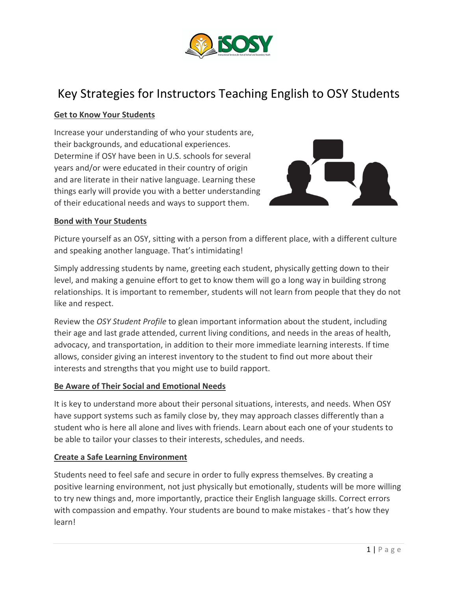

# Key Strategies for Instructors Teaching English to OSY Students

# **Get to Know Your Students**

Increase your understanding of who your students are, their backgrounds, and educational experiences. Determine if OSY have been in U.S. schools for several years and/or were educated in their country of origin and are literate in their native language. Learning these things early will provide you with a better understanding of their educational needs and ways to support them.



## **Bond with Your Students**

Picture yourself as an OSY, sitting with a person from a different place, with a different culture and speaking another language. That's intimidating!

Simply addressing students by name, greeting each student, physically getting down to their level, and making a genuine effort to get to know them will go a long way in building strong relationships. It is important to remember, students will not learn from people that they do not like and respect.

Review the *OSY Student Profile* to glean important information about the student, including their age and last grade attended, current living conditions, and needs in the areas of health, advocacy, and transportation, in addition to their more immediate learning interests. If time allows, consider giving an interest inventory to the student to find out more about their interests and strengths that you might use to build rapport.

## **Be Aware of Their Social and Emotional Needs**

It is key to understand more about their personal situations, interests, and needs. When OSY have support systems such as family close by, they may approach classes differently than a student who is here all alone and lives with friends. Learn about each one of your students to be able to tailor your classes to their interests, schedules, and needs.

## **Create a Safe Learning Environment**

Students need to feel safe and secure in order to fully express themselves. By creating a positive learning environment, not just physically but emotionally, students will be more willing to try new things and, more importantly, practice their English language skills. Correct errors with compassion and empathy. Your students are bound to make mistakes - that's how they learn!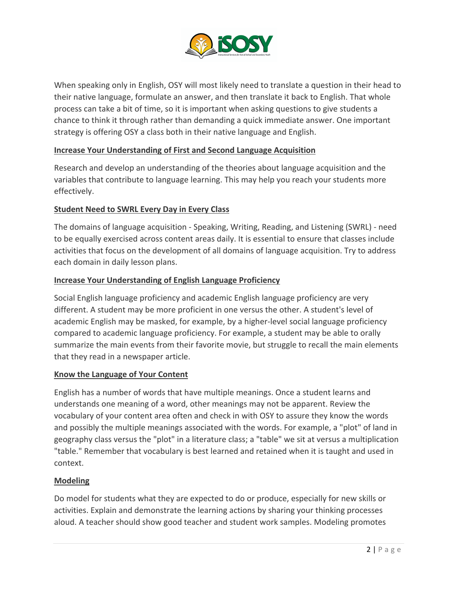

When speaking only in English, OSY will most likely need to translate a question in their head to their native language, formulate an answer, and then translate it back to English. That whole process can take a bit of time, so it is important when asking questions to give students a chance to think it through rather than demanding a quick immediate answer. One important strategy is offering OSY a class both in their native language and English.

# **Increase Your Understanding of First and Second Language Acquisition**

Research and develop an understanding of the theories about language acquisition and the variables that contribute to language learning. This may help you reach your students more effectively.

# **Student Need to SWRL Every Day in Every Class**

The domains of language acquisition - Speaking, Writing, Reading, and Listening (SWRL) - need to be equally exercised across content areas daily. It is essential to ensure that classes include activities that focus on the development of all domains of language acquisition. Try to address each domain in daily lesson plans.

# **Increase Your Understanding of English Language Proficiency**

Social English language proficiency and academic English language proficiency are very different. A student may be more proficient in one versus the other. A student's level of academic English may be masked, for example, by a higher-level social language proficiency compared to academic language proficiency. For example, a student may be able to orally summarize the main events from their favorite movie, but struggle to recall the main elements that they read in a newspaper article.

## **Know the Language of Your Content**

English has a number of words that have multiple meanings. Once a student learns and understands one meaning of a word, other meanings may not be apparent. Review the vocabulary of your content area often and check in with OSY to assure they know the words and possibly the multiple meanings associated with the words. For example, a "plot" of land in geography class versus the "plot" in a literature class; a "table" we sit at versus a multiplication "table." Remember that vocabulary is best learned and retained when it is taught and used in context.

## **Modeling**

Do model for students what they are expected to do or produce, especially for new skills or activities. Explain and demonstrate the learning actions by sharing your thinking processes aloud. A teacher should show good teacher and student work samples. Modeling promotes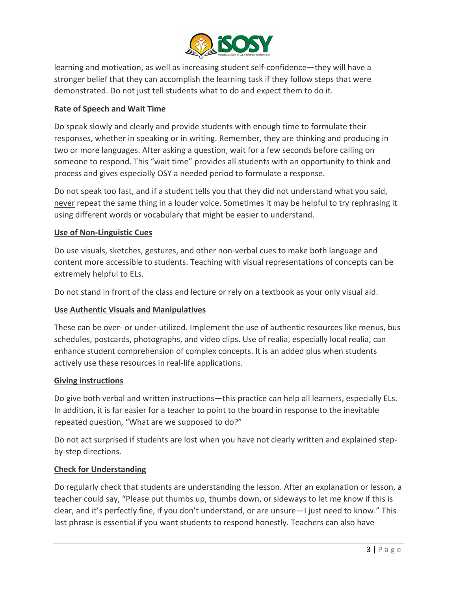

learning and motivation, as well as increasing student self-confidence—they will have a stronger belief that they can accomplish the learning task if they follow steps that were demonstrated. Do not just tell students what to do and expect them to do it.

# **Rate of Speech and Wait Time**

Do speak slowly and clearly and provide students with enough time to formulate their responses, whether in speaking or in writing. Remember, they are thinking and producing in two or more languages. After asking a question, wait for a few seconds before calling on someone to respond. This "wait time" provides all students with an opportunity to think and process and gives especially OSY a needed period to formulate a response.

Do not speak too fast, and if a student tells you that they did not understand what you said, never repeat the same thing in a louder voice. Sometimes it may be helpful to try rephrasing it using different words or vocabulary that might be easier to understand.

# **Use of Non-Linguistic Cues**

Do use visuals, sketches, gestures, and other non-verbal cues to make both language and content more accessible to students. Teaching with visual representations of concepts can be extremely helpful to ELs.

Do not stand in front of the class and lecture or rely on a textbook as your only visual aid.

# **Use Authentic Visuals and Manipulatives**

These can be over- or under-utilized. Implement the use of authentic resources like menus, bus schedules, postcards, photographs, and video clips. Use of realia, especially local realia, can enhance student comprehension of complex concepts. It is an added plus when students actively use these resources in real-life applications.

## **Giving instructions**

Do give both verbal and written instructions—this practice can help all learners, especially ELs. In addition, it is far easier for a teacher to point to the board in response to the inevitable repeated question, "What are we supposed to do?"

Do not act surprised if students are lost when you have not clearly written and explained stepby-step directions.

# **Check for Understanding**

Do regularly check that students are understanding the lesson. After an explanation or lesson, a teacher could say, "Please put thumbs up, thumbs down, or sideways to let me know if this is clear, and it's perfectly fine, if you don't understand, or are unsure—I just need to know." This last phrase is essential if you want students to respond honestly. Teachers can also have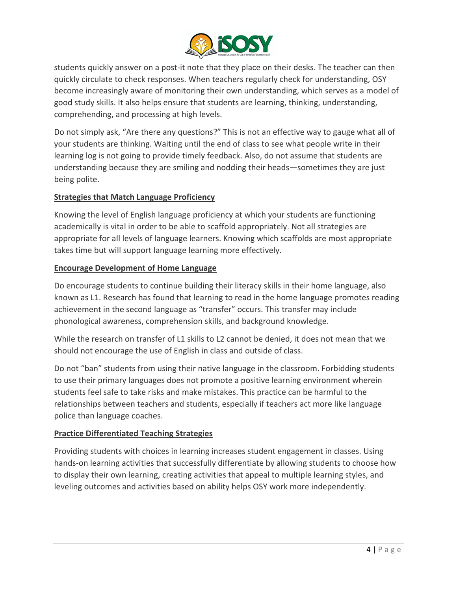

students quickly answer on a post-it note that they place on their desks. The teacher can then quickly circulate to check responses. When teachers regularly check for understanding, OSY become increasingly aware of monitoring their own understanding, which serves as a model of good study skills. It also helps ensure that students are learning, thinking, understanding, comprehending, and processing at high levels.

Do not simply ask, "Are there any questions?" This is not an effective way to gauge what all of your students are thinking. Waiting until the end of class to see what people write in their learning log is not going to provide timely feedback. Also, do not assume that students are understanding because they are smiling and nodding their heads—sometimes they are just being polite.

# **Strategies that Match Language Proficiency**

Knowing the level of English language proficiency at which your students are functioning academically is vital in order to be able to scaffold appropriately. Not all strategies are appropriate for all levels of language learners. Knowing which scaffolds are most appropriate takes time but will support language learning more effectively.

# **Encourage Development of Home Language**

Do encourage students to continue building their literacy skills in their home language, also known as L1. Research has found that learning to read in the home language promotes reading achievement in the second language as "transfer" occurs. This transfer may include phonological awareness, comprehension skills, and background knowledge.

While the research on transfer of L1 skills to L2 cannot be denied, it does not mean that we should not encourage the use of English in class and outside of class.

Do not "ban" students from using their native language in the classroom. Forbidding students to use their primary languages does not promote a positive learning environment wherein students feel safe to take risks and make mistakes. This practice can be harmful to the relationships between teachers and students, especially if teachers act more like language police than language coaches.

# **Practice Differentiated Teaching Strategies**

Providing students with choices in learning increases student engagement in classes. Using hands-on learning activities that successfully differentiate by allowing students to choose how to display their own learning, creating activities that appeal to multiple learning styles, and leveling outcomes and activities based on ability helps OSY work more independently.